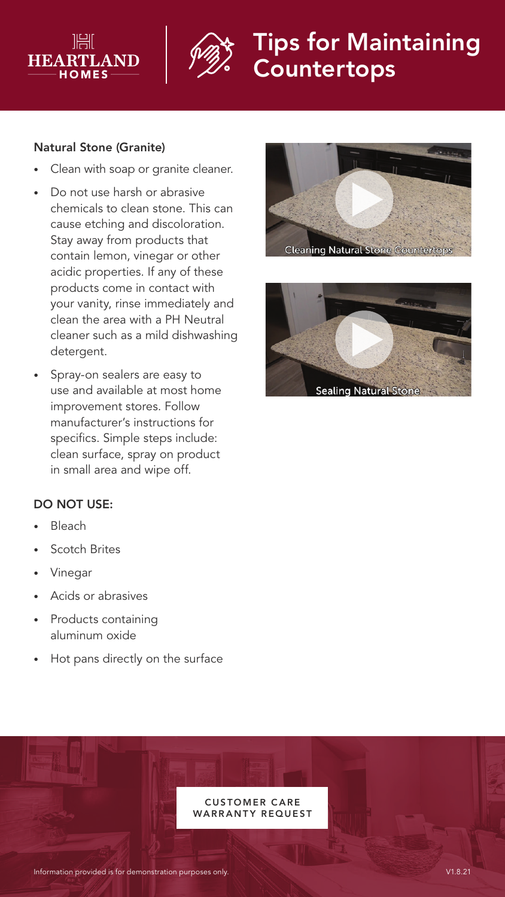



# Tips for Maintaining **Countertops**

#### Natural Stone (Granite)

- Clean with soap or granite cleaner.
- Do not use harsh or abrasive chemicals to clean stone. This can cause etching and discoloration. Stay away from products that contain lemon, vinegar or other acidic properties. If any of these products come in contact with your vanity, rinse immediately and clean the area with a PH Neutral cleaner such as a mild dishwashing detergent.
- Spray-on sealers are easy to use and available at most home improvement stores. Follow manufacturer's instructions for specifics. Simple steps include: clean surface, spray on product in small area and wipe off.





## DO NOT USE:

- **Bleach**
- **Scotch Brites**
- Vinegar
- Acids or abrasives
- Products containing aluminum oxide
- Hot pans directly on the surface

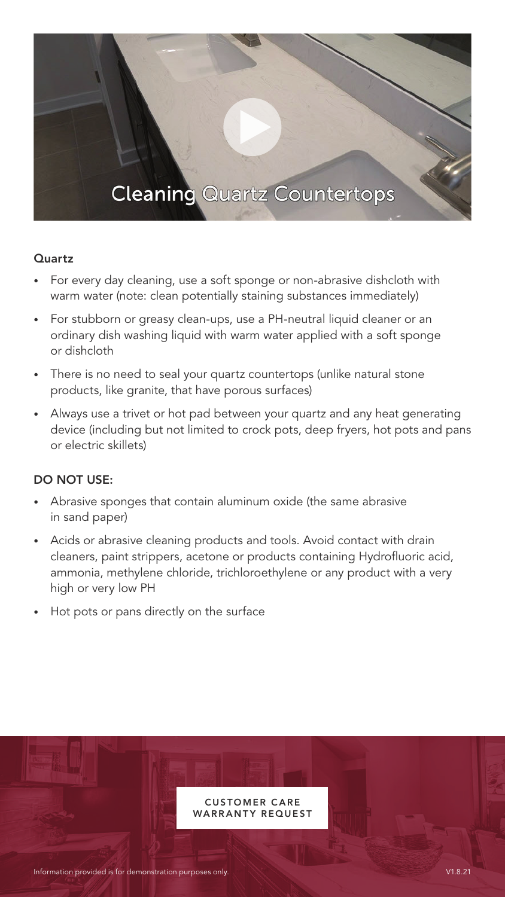## **Cleaning Quartz Countertops**

#### Quartz

- For every day cleaning, use a soft sponge or non-abrasive dishcloth with warm water (note: clean potentially staining substances immediately)
- For stubborn or greasy clean-ups, use a PH-neutral liquid cleaner or an ordinary dish washing liquid with warm water applied with a soft sponge or dishcloth
- There is no need to seal your quartz countertops (unlike natural stone products, like granite, that have porous surfaces)
- Always use a trivet or hot pad between your quartz and any heat generating device (including but not limited to crock pots, deep fryers, hot pots and pans or electric skillets)

## DO NOT USE:

- Abrasive sponges that contain aluminum oxide (the same abrasive in sand paper)
- Acids or abrasive cleaning products and tools. Avoid contact with drain cleaners, paint strippers, acetone or products containing Hydrofluoric acid, ammonia, methylene chloride, trichloroethylene or any product with a very high or very low PH
- Hot pots or pans directly on the surface

**CUSTOMER CARE** WARRANTY REQUEST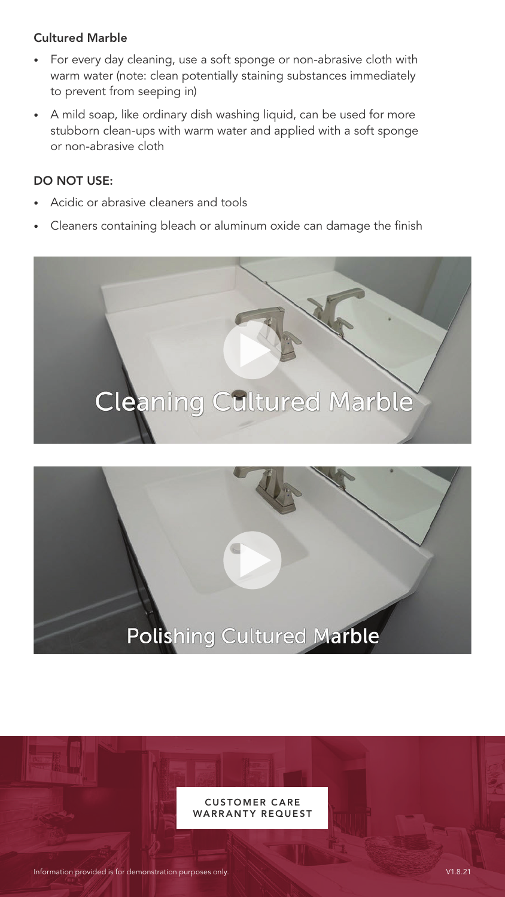#### Cultured Marble

- For every day cleaning, use a soft sponge or non-abrasive cloth with warm water (note: clean potentially staining substances immediately to prevent from seeping in)
- A mild soap, like ordinary dish washing liquid, can be used for more stubborn clean-ups with warm water and applied with a soft sponge or non-abrasive cloth

## DO NOT USE:

- Acidic or abrasive cleaners and tools
- Cleaners containing bleach or aluminum oxide can damage the finish